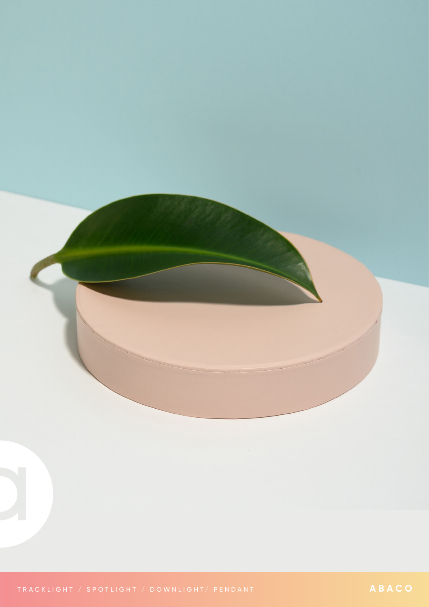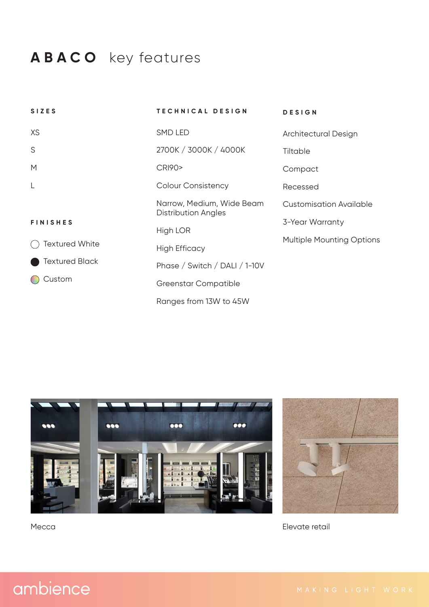## **ABACO** key features

| <b>SIZES</b>          | TECHNICAL DESIGN                                        | <b>DESIGN</b>                    |  |
|-----------------------|---------------------------------------------------------|----------------------------------|--|
| XS                    | SMD LED                                                 | Architectural Design             |  |
| S                     | 2700K / 3000K / 4000K                                   | Tiltable                         |  |
| M                     | <b>CRI90&gt;</b>                                        | Compact                          |  |
| $\lfloor$             | <b>Colour Consistency</b>                               | Recessed                         |  |
|                       | Narrow, Medium, Wide Beam<br><b>Distribution Angles</b> | <b>Customisation Available</b>   |  |
| <b>FINISHES</b>       |                                                         | 3-Year Warranty                  |  |
|                       | High LOR                                                | <b>Multiple Mounting Options</b> |  |
| <b>Textured White</b> | <b>High Efficacy</b>                                    |                                  |  |
| <b>Textured Black</b> | Phase / Switch / DALI / 1-10V                           |                                  |  |
| Custom                | <b>Greenstar Compatible</b>                             |                                  |  |
|                       | Ranges from 13W to 45W                                  |                                  |  |





Mecca **Elevate retail** 

## ambience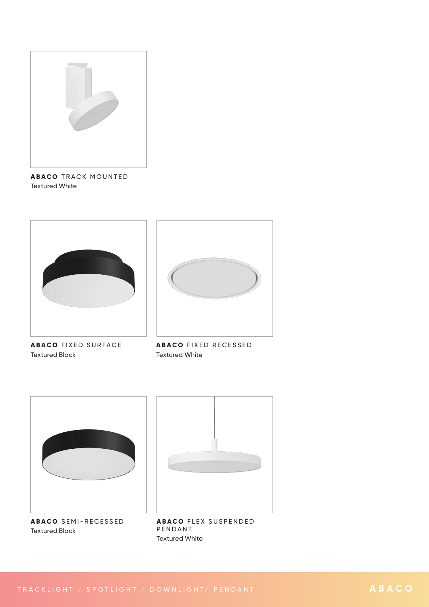

**ABACO** TRACK MOUNTED Textured White





**ABACO** FIXED SURFACE Textured Black

**ABACO** FIXED RECESSED Textured White



**ABACO** SEMI-RECESSED Textured Black



**ABACO FLEX SUSPENDED** PENDANT Textured White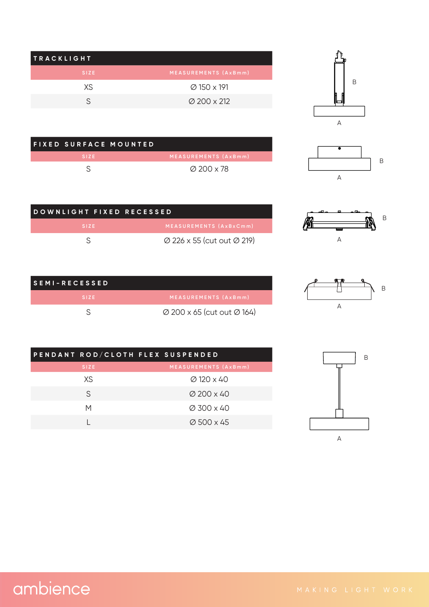| <b>TRACKLIGHT</b> |                         |
|-------------------|-------------------------|
| <b>SIZE</b>       | MEASUREMENTS (AxBmm)    |
| XS.               | Ø 150 x 191             |
|                   | $\varnothing$ 200 x 212 |

FIXED SURFACE MOUNTED

 $\mathsf{S}$ 





| DOWNLIGHT FIXED RECESSED |                                                    |  |
|--------------------------|----------------------------------------------------|--|
| <b>SIZE</b>              | MEASUREMENTS (AxBxCmm)                             |  |
|                          | $\varnothing$ 226 x 55 (cut out $\varnothing$ 219) |  |

 $\varnothing$  200 x 78



 $\overline{A}$ 

 $\mathsf A$ 

 $\overline{B}$ 

M

| I S E M I – R E C E S <u>S E D</u> ' |                                                    |
|--------------------------------------|----------------------------------------------------|
| SIZE.                                | MEASUREMENTS (AxBmm)                               |
|                                      | $\varnothing$ 200 x 65 (cut out $\varnothing$ 164) |

| PENDANT ROD/CLOTH FLEX SUSPENDED |                        |
|----------------------------------|------------------------|
| SIZE.                            | MEASUREMENTS (AxBmm)   |
| XS                               | $\varnothing$ 120 x 40 |
| S                                | $\varnothing$ 200 x 40 |
| М                                | $\varnothing$ 300 x 40 |
|                                  | $\varnothing$ 500 x 45 |